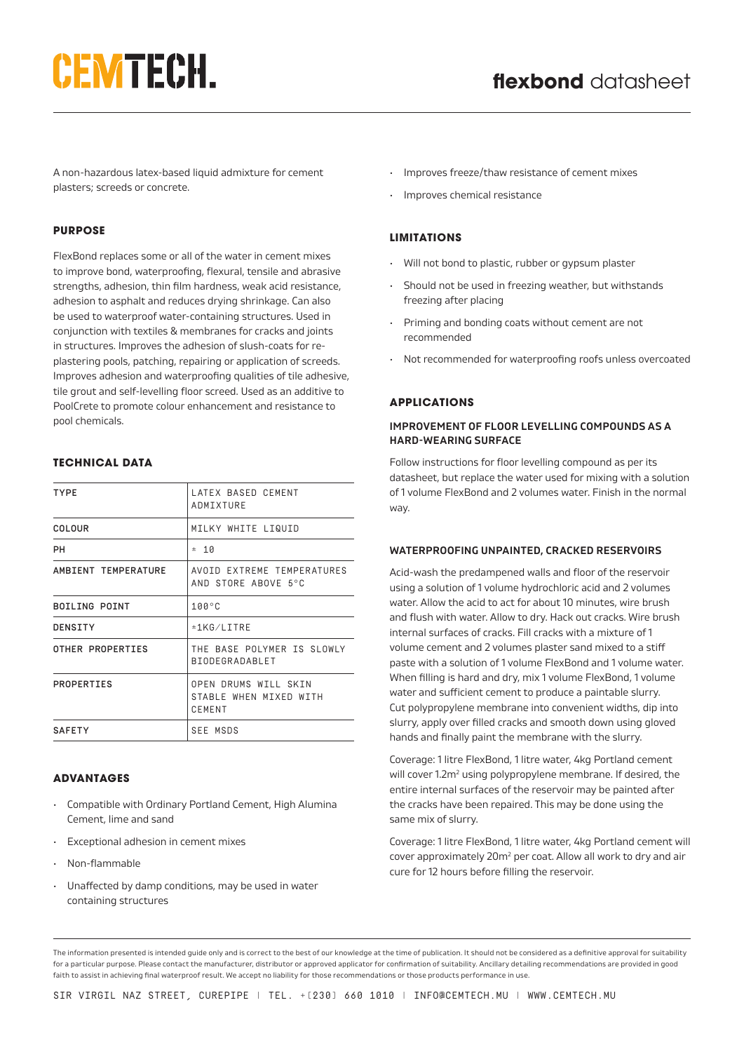# **CEMTECH.**

A non-hazardous latex-based liquid admixture for cement plasters; screeds or concrete.

## **PURPOSE**

FlexBond replaces some or all of the water in cement mixes to improve bond, waterproofing, flexural, tensile and abrasive strengths, adhesion, thin film hardness, weak acid resistance, adhesion to asphalt and reduces drying shrinkage. Can also be used to waterproof water-containing structures. Used in conjunction with textiles & membranes for cracks and joints in structures. Improves the adhesion of slush-coats for replastering pools, patching, repairing or application of screeds. Improves adhesion and waterproofing qualities of tile adhesive, tile grout and self-levelling floor screed. Used as an additive to PoolCrete to promote colour enhancement and resistance to pool chemicals.

## **TECHNICAL DATA**

| <b>TYPE</b>          | LATEX BASED CEMENT<br>ADMIXTURE                                 |
|----------------------|-----------------------------------------------------------------|
| COLOUR               | MILKY WHITE LIQUID                                              |
| PН                   | ±10                                                             |
| AMBIENT TEMPERATURE  | AVOID EXTREME TEMPERATURES<br>AND STORE ABOVE 5°C               |
| <b>BOILING POINT</b> | $100^{\circ}$ C                                                 |
| DENSITY              | ±1KG/LITRE                                                      |
| OTHER PROPERTIES     | THE BASE POLYMER IS SLOWLY<br><b>BIODEGRADABLET</b>             |
| PROPERTIES           | OPEN DRUMS WILL SKIN<br>STABLE WHEN MIXED WITH<br><b>CEMENT</b> |
| <b>SAFETY</b>        | SEE MSDS                                                        |

### **ADVANTAGES**

- Compatible with Ordinary Portland Cement, High Alumina Cement, lime and sand
- Exceptional adhesion in cement mixes
- Non-flammable
- Unaffected by damp conditions, may be used in water containing structures
- Improves freeze/thaw resistance of cement mixes
- Improves chemical resistance

## **LIMITATIONS**

- Will not bond to plastic, rubber or gypsum plaster
- Should not be used in freezing weather, but withstands freezing after placing
- Priming and bonding coats without cement are not recommended
- Not recommended for waterproofing roofs unless overcoated

## **APPLICATIONS**

#### **IMPROVEMENT OF FLOOR LEVELLING COMPOUNDS AS A HARD-WEARING SURFACE**

Follow instructions for floor levelling compound as per its datasheet, but replace the water used for mixing with a solution of 1 volume FlexBond and 2 volumes water. Finish in the normal way.

### **WATERPROOFING UNPAINTED, CRACKED RESERVOIRS**

Acid-wash the predampened walls and floor of the reservoir using a solution of 1 volume hydrochloric acid and 2 volumes water. Allow the acid to act for about 10 minutes, wire brush and flush with water. Allow to dry. Hack out cracks. Wire brush internal surfaces of cracks. Fill cracks with a mixture of 1 volume cement and 2 volumes plaster sand mixed to a stiff paste with a solution of 1 volume FlexBond and 1 volume water. When filling is hard and dry, mix 1 volume FlexBond, 1 volume water and sufficient cement to produce a paintable slurry. Cut polypropylene membrane into convenient widths, dip into slurry, apply over filled cracks and smooth down using gloved hands and finally paint the membrane with the slurry.

Coverage: 1 litre FlexBond, 1 litre water, 4kg Portland cement will cover 1.2m<sup>2</sup> using polypropylene membrane. If desired, the entire internal surfaces of the reservoir may be painted after the cracks have been repaired. This may be done using the same mix of slurry.

Coverage: 1 litre FlexBond, 1 litre water, 4kg Portland cement will cover approximately 20m<sup>2</sup> per coat. Allow all work to dry and air cure for 12 hours before filling the reservoir.

The information presented is intended guide only and is correct to the best of our knowledge at the time of publication. It should not be considered as a definitive approval for suitability for a particular purpose. Please contact the manufacturer, distributor or approved applicator for confirmation of suitability. Ancillary detailing recommendations are provided in good faith to assist in achieving final waterproof result. We accept no liability for those recommendations or those products performance in use.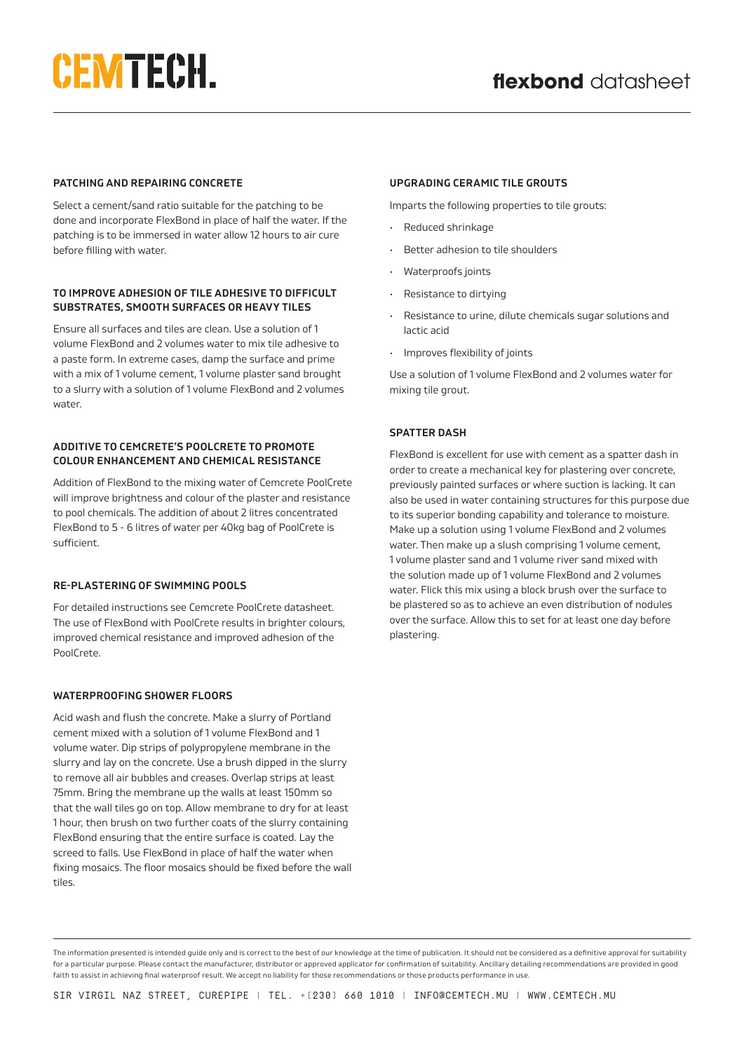# **CEMTECH.**

## **PATCHING AND REPAIRING CONCRETE**

Select a cement/sand ratio suitable for the patching to be done and incorporate FlexBond in place of half the water. If the patching is to be immersed in water allow 12 hours to air cure before filling with water.

## **TO IMPROVE ADHESION OF TILE ADHESIVE TO DIFFICULT SUBSTRATES, SMOOTH SURFACES OR HEAVY TILES**

Ensure all surfaces and tiles are clean. Use a solution of 1 volume FlexBond and 2 volumes water to mix tile adhesive to a paste form. In extreme cases, damp the surface and prime with a mix of 1 volume cement, 1 volume plaster sand brought to a slurry with a solution of 1 volume FlexBond and 2 volumes water.

## **ADDITIVE TO CEMCRETE'S POOLCRETE TO PROMOTE COLOUR ENHANCEMENT AND CHEMICAL RESISTANCE**

Addition of FlexBond to the mixing water of Cemcrete PoolCrete will improve brightness and colour of the plaster and resistance to pool chemicals. The addition of about 2 litres concentrated FlexBond to 5 - 6 litres of water per 40kg bag of PoolCrete is sufficient.

## **RE-PLASTERING OF SWIMMING POOLS**

For detailed instructions see Cemcrete PoolCrete datasheet. The use of FlexBond with PoolCrete results in brighter colours, improved chemical resistance and improved adhesion of the PoolCrete.

# **WATERPROOFING SHOWER FLOORS**

Acid wash and flush the concrete. Make a slurry of Portland cement mixed with a solution of 1 volume FlexBond and 1 volume water. Dip strips of polypropylene membrane in the slurry and lay on the concrete. Use a brush dipped in the slurry to remove all air bubbles and creases. Overlap strips at least 75mm. Bring the membrane up the walls at least 150mm so that the wall tiles go on top. Allow membrane to dry for at least 1 hour, then brush on two further coats of the slurry containing FlexBond ensuring that the entire surface is coated. Lay the screed to falls. Use FlexBond in place of half the water when fixing mosaics. The floor mosaics should be fixed before the wall tiles.

## **UPGRADING CERAMIC TILE GROUTS**

Imparts the following properties to tile grouts:

- Reduced shrinkage
- Better adhesion to tile shoulders
- Waterproofs joints
- Resistance to dirtying
- Resistance to urine, dilute chemicals sugar solutions and lactic acid
- Improves flexibility of joints

Use a solution of 1 volume FlexBond and 2 volumes water for mixing tile grout.

# **SPATTER DASH**

FlexBond is excellent for use with cement as a spatter dash in order to create a mechanical key for plastering over concrete, previously painted surfaces or where suction is lacking. It can also be used in water containing structures for this purpose due to its superior bonding capability and tolerance to moisture. Make up a solution using 1 volume FlexBond and 2 volumes water. Then make up a slush comprising 1 volume cement, 1 volume plaster sand and 1 volume river sand mixed with the solution made up of 1 volume FlexBond and 2 volumes water. Flick this mix using a block brush over the surface to be plastered so as to achieve an even distribution of nodules over the surface. Allow this to set for at least one day before plastering.

The information presented is intended guide only and is correct to the best of our knowledge at the time of publication. It should not be considered as a definitive approval for suitability for a particular purpose. Please contact the manufacturer, distributor or approved applicator for confirmation of suitability. Ancillary detailing recommendations are provided in good faith to assist in achieving final waterproof result. We accept no liability for those recommendations or those products performance in use.